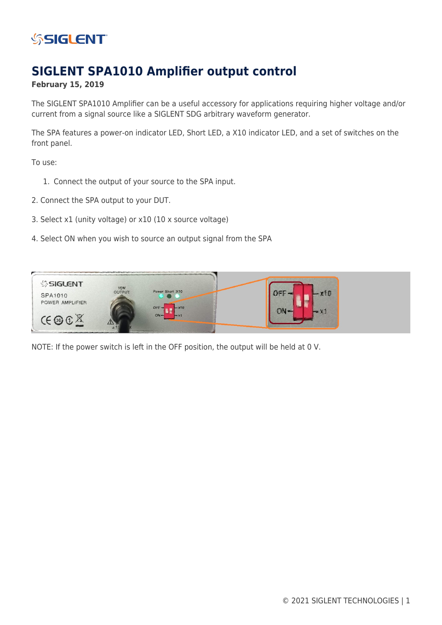

# **SIGLENT SPA1010 Amplifier output control**

## **February 15, 2019**

The SIGLENT SPA1010 Amplifier can be a useful accessory for applications requiring higher voltage and/or current from a signal source like a SIGLENT SDG arbitrary waveform generator.

The SPA features a power-on indicator LED, Short LED, a X10 indicator LED, and a set of switches on the front panel.

To use:

- 1. Connect the output of your source to the SPA input.
- 2. Connect the SPA output to your DUT.
- 3. Select x1 (unity voltage) or x10 (10 x source voltage)
- 4. Select ON when you wish to source an output signal from the SPA



NOTE: If the power switch is left in the OFF position, the output will be held at 0 V.